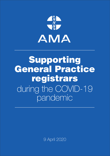

# Supporting General Practice registrars during the COVID-19 pandemic

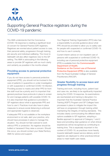

# Supporting General Practice registrars during the COVID-19 pandemic

The AMA understands that the Coronavirus (COVID-19) response is creating a significant level of concern for General Practice (GP) registrars. Registrars are worried about patient access to care, their personal safety, progression through training, job security and individual wellbeing. The move to telehealth will also affect registrars new to the GP setting. The AMA is advocating in the following areas to provide GP registrars with as much clarity and certainty as possible in the months ahead.

### Providing access to personal protective equipment

If you do not have access to personal protective equipment (PPE), you should not be involved in the care of patients in quarantine or under investigation or with suspected or confirmed COVID-19 infection. Providing access to masks and other PPE for front line staff must be a priority and it is important that general practices have protocols in place to screen for and manage patients with possible COVID-19. It is also important that guidance is provided to GP registrars about what is appropriate PPE and how to use it. Practices must also have in place measures to ensure social distancing is enforced and appropriate hygiene is observed.

If adequate PPE is not available or the workplace environment is not safe, alert your practice, who should have processes in place to manage this situation. You should not feel coerced to work without PPE or protection. No registrar should be bullied or harassed if they raise a concern. Should this occur, you should contact your State/Territory AMA for advice and support.

Your Regional Training Organisation (RTO) also has a responsibility to provide guidance about what PPE should be provided to allow you to safely care for people with suspected or confirmed COVID-19, and how to use it correctly.

Current interim advice on non-inpatient care of persons with suspected or confirmed COVID-19, including use of personal protective equipment [\(PPE\) is available from the](https://www.health.gov.au/resources/publications/revised-advice-on-non-inpatient-care-of-people-with-suspected-or-confirmed-covid-19-including-use-of-personal-protective-equipment-ppe) **Commonwealth** Department of Health. [Guidance on the Correct use of Personal](https://www.racgp.org.au/FSDEDEV/media/documents/Running%20a%20practice/Practice%20resources/Correct-use-of-personal-equipment.pdf)  Protective Equipment (PPE) is also available from the Royal Australian College of General Practitioners (RACGP).

### Greater flexibility to access leave and progress through training

Training and work, including hours, patient load and case mix, are likely to be significantly impacted during the COVID-19 response. As examinations are rescheduled and training is disrupted, it is important that the Australian General Practice Training (AGPT) Program and GP Colleges have processes in place to mitigate the impact this will have on progression through training whilst maintaining the integrity of training standards. This includes clearly communicating the different leave options available to GP registrars, adopting a flexible approach to approval of Category 1 and 2 leave and providing clear guidance on what clinical experiences will be recognised as contributing to training time. This is especially important in the context of COVID-19, as practices move heavily towards telehealth-based service delivery and/or registrars are deployed to other practices/clinical areas to meet health care needs.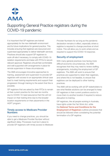

# Supporting General Practice registrars during the COVID-19 pandemic

It is important that GP registrars are trained appropriately for the new telehealth environment and its future implications for general practice. This includes ensuring that registrars are resourced and supervised appropriately to deliver telehealth services. Practices should also support GP registrars to work off-site if necessary, to comply with COVID-19 isolation requirements and liaise with RTOs to secure relevant approval. Registrars should feel comfortable and well supported with arrangements in place for remote supervision in these circumstances.

The AMA encourages innovative approaches to training, assessment and supervision to provide GP registrars with access to an appropriate clinical case load to meet training requirements and support their progression through training to the extent that this is possible.

GP registrars that are asked by their RTOs to remain at their current practice for the next six months due to COVID-19 need assurance that this will not impact on their training time due to the broader location requirements on their placements in the AGPT program.

### Timely access to Medicare Provider Numbers

If you need to change practices, you should be able to get a Medicare Provider Number without significant delay. Processes must be in place to provide GP registrars with timely access to Medicare Provider Numbers for as long as the pandemic declaration remains in effect, especially where a registrar is required to change practices at short notice. This will allow you to work where and as required to support the COVID-19 response.

### Security of employment

With many general practices now facing more difficult economic circumstances, the AMA recognises that they may need to review staffing arrangements, including the employment of GP registrars. The AMA will work to ensure that practices are supported to retain their registrars, and where this is not feasible, to ensure that registrars can be deployed to other training practices.

The AMA will be working with all GP stakeholders to see what flexible solutions can be arranged to keep GP registrars in their current positions and/or to move them to another location if required to reduce disruption to training.

GP registrars, like all people working in Australia, [have rights under the Fair Work Act, while](https://gpra.org.au/ntcer/)  the National Terms and Conditions for the **Employment of Registrars outlines processes that** should be followed when considering the potential termination of a GP registrar.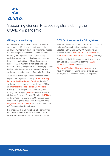

## Supporting General Practice registrars during the COVID-19 pandemic

### GP registrar wellbeing

Consideration needs to be given to the level of work, stress, difficult clinical treatment decisions and large numbers of ill patients which may impact the wellbeing of all frontline healthcare workers, including GP registrars. Support, leadership and clear, consistent and timely communication from health authorities, RTOs and supervisors is necessary to maintain a motivated and safe workforce during this period. This messaging should be from reliable sources to support GP registrar wellbeing and reduce anxiety from misinformation.

[There are a wide range of resources available to](https://www.drs4drs.com.au/getting-help/)  support GP registrars including: **State/Territory** Doctors Health Advisory Services (Drs4Drs), wellbeing and support resources through RTOs and [General Practice Registrars Australia](https://gpra.org.au/wellbeing/) (GPRA), and Employee Assistance Programs through the Colleges (**[RACGP](https://www.racgp.org.au/racgp-membership/member-offers/the-gp-support-program)** and the Australian College of Rural and Remote Medicine [\(ACRRM\)](https://www.acrrm.org.au/support)) or the GP registrar's employer. GP registrars are also encouraged to speak with their supervisors, Registrar Liaison Officers (RLO's) and their own [GP if they need additional support.](https://gpra.org.au/rlo/) 

It is important that GP registrars take care of their own health and look out for the health of their colleagues during this difficult and stressful time.

### COVID-19 resources for GP registrars

More information for GP registrars about COVID-19, including frequently asked questions by doctors, updates on PPE and COVID-19 factsheets are available from the [AMA's COVID-19 website](https://ama.com.au/article/latest-information-covid-19) and the [AMA Council of Doctors in Training](https://ama.com.au/article/ama-advocacy-support-doctors-training-during-covid-19-response) webpage.

Additional COVID-19 resources for GPs in training can also be accessed from both the [RACGP,](https://www.racgp.org.au/coronavirus/gpit) **[ACRRM](https://www.acrrm.org.au/support/clinicians/community-support/coronavirus-support)** and **GPRA** websites.

**State and Territory AMA webpages may also** [have information regarding private practice and](#page-4-0)  employment issues of interest to GP registrars.